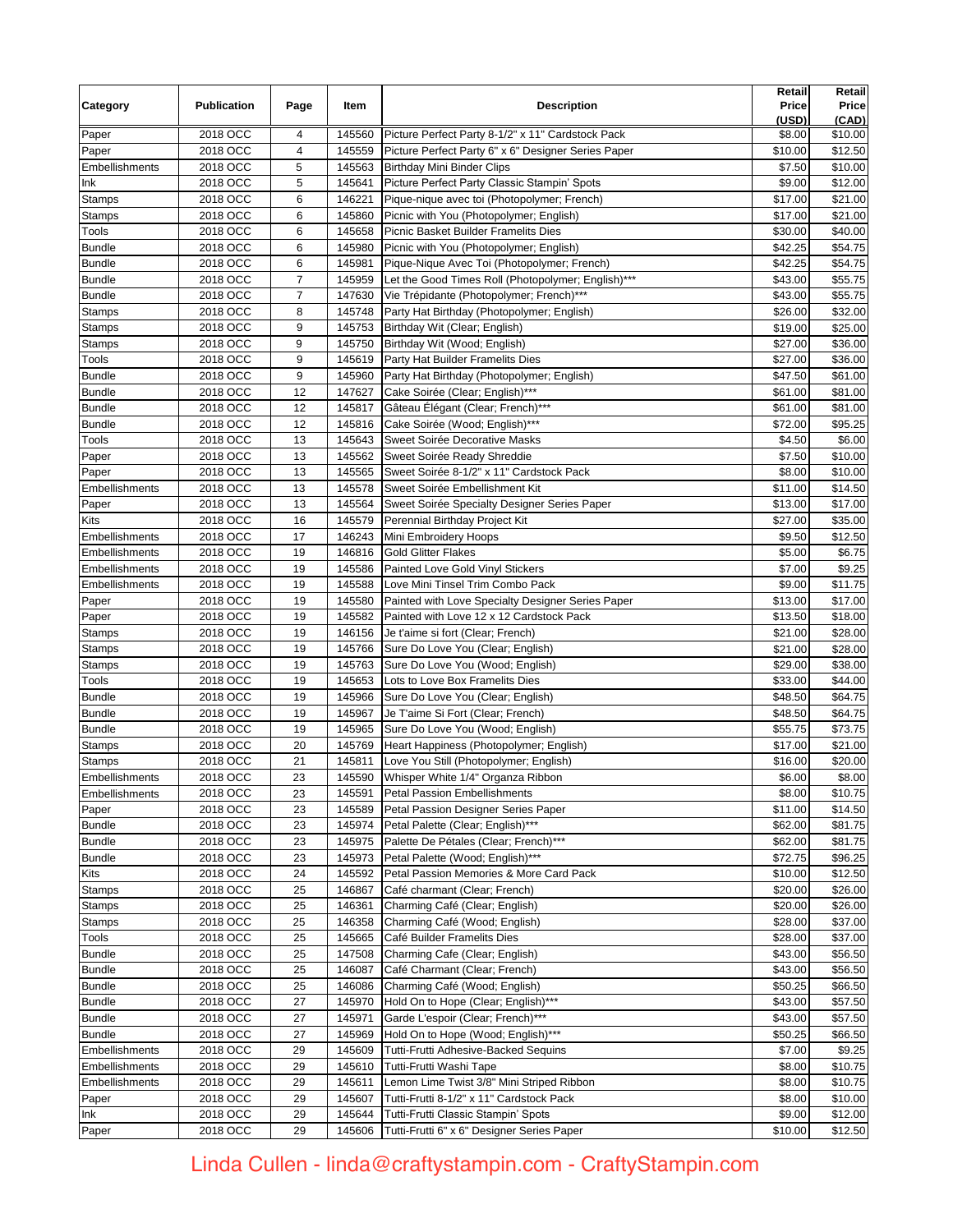| Category              | <b>Publication</b>   | Page     | Item             | <b>Description</b>                                                     | Retail<br>Price<br>(USD) | Retail<br>Price<br>(CAD) |
|-----------------------|----------------------|----------|------------------|------------------------------------------------------------------------|--------------------------|--------------------------|
| Paper                 | 2018 OCC             | 4        | 145560           | Picture Perfect Party 8-1/2" x 11" Cardstock Pack                      | \$8.00                   | \$10.00                  |
| Paper                 | 2018 OCC             | 4        | 145559           | Picture Perfect Party 6" x 6" Designer Series Paper                    | \$10.00                  | \$12.50                  |
| Embellishments        | 2018 OCC             | 5        | 145563           | <b>Birthday Mini Binder Clips</b>                                      | \$7.50                   | \$10.00                  |
| Ink                   | 2018 OCC             | 5        | 145641           | Picture Perfect Party Classic Stampin' Spots                           | \$9.00                   | \$12.00                  |
| Stamps                | 2018 OCC             | 6        | 146221           | Pique-nique avec toi (Photopolymer; French)                            | \$17.00                  | \$21.00                  |
| <b>Stamps</b>         | 2018 OCC             | 6        | 145860           | Picnic with You (Photopolymer; English)                                | \$17.00                  | \$21.00                  |
| Tools                 | 2018 OCC             | 6        | 145658           | Picnic Basket Builder Framelits Dies                                   | \$30.00                  | \$40.00                  |
| <b>Bundle</b>         | 2018 OCC             | 6        | 145980           | Picnic with You (Photopolymer; English)                                | \$42.25                  | \$54.75                  |
| <b>Bundle</b>         | 2018 OCC             | 6        | 145981           | Pique-Nique Avec Toi (Photopolymer; French)                            | \$42.25                  | \$54.75                  |
| <b>Bundle</b>         | 2018 OCC             | 7        | 145959           | Let the Good Times Roll (Photopolymer; English)***                     | \$43.00                  | \$55.75                  |
| <b>Bundle</b>         | 2018 OCC             | 7        | 147630           | Vie Trépidante (Photopolymer; French)***                               | \$43.00                  | \$55.75                  |
| Stamps                | 2018 OCC             | 8        | 145748           | Party Hat Birthday (Photopolymer; English)                             | \$26.00                  | \$32.00                  |
| <b>Stamps</b>         | 2018 OCC             | 9        | 145753           | Birthday Wit (Clear; English)                                          | \$19.00                  | \$25.00                  |
| Stamps                | 2018 OCC             | 9        | 145750           | Birthday Wit (Wood; English)                                           | \$27.00                  | \$36.00                  |
| Tools                 | 2018 OCC             | 9        | 145619           | Party Hat Builder Framelits Dies                                       | \$27.00                  | \$36.00                  |
| <b>Bundle</b>         | 2018 OCC             | 9        | 145960           | Party Hat Birthday (Photopolymer; English)                             | \$47.50                  | \$61.00                  |
| <b>Bundle</b>         | 2018 OCC             | 12       | 147627           | Cake Soirée (Clear; English)***                                        | \$61.00                  | \$81.00                  |
| <b>Bundle</b>         | 2018 OCC             | 12       | 145817           | Gâteau Élégant (Clear; French)***                                      | \$61.00                  | \$81.00                  |
| <b>Bundle</b>         | 2018 OCC             | 12       | 145816           | Cake Soirée (Wood; English)***                                         | \$72.00                  | \$95.25                  |
| Tools                 | 2018 OCC             | 13       | 145643           | Sweet Soirée Decorative Masks                                          | \$4.50                   | \$6.00                   |
| Paper                 | 2018 OCC             | 13       | 145562           | Sweet Soirée Ready Shreddie                                            | \$7.50                   | \$10.00                  |
| Paper                 | 2018 OCC             | 13       | 145565           | Sweet Soirée 8-1/2" x 11" Cardstock Pack                               | \$8.00                   | \$10.00                  |
| Embellishments        | 2018 OCC             | 13       | 145578           | Sweet Soirée Embellishment Kit                                         | \$11.00                  | \$14.50                  |
| Paper                 | 2018 OCC             | 13       | 145564           | Sweet Soirée Specialty Designer Series Paper                           | \$13.00                  | \$17.00                  |
| Kits                  | 2018 OCC             | 16       | 145579           | Perennial Birthday Project Kit                                         | \$27.00                  | \$35.00                  |
| Embellishments        | 2018 OCC             | 17       | 146243           | Mini Embroidery Hoops                                                  | \$9.50                   | \$12.50                  |
| Embellishments        | 2018 OCC             | 19       | 146816           | <b>Gold Glitter Flakes</b>                                             | \$5.00                   | \$6.75                   |
| Embellishments        | 2018 OCC             | 19       | 145586           | Painted Love Gold Vinyl Stickers                                       | \$7.00                   | \$9.25                   |
| Embellishments        | 2018 OCC             | 19       | 145588           | Love Mini Tinsel Trim Combo Pack                                       | \$9.00                   | \$11.75                  |
| Paper                 | 2018 OCC             | 19       | 145580           | Painted with Love Specialty Designer Series Paper                      | \$13.00                  | \$17.00                  |
| Paper                 | 2018 OCC             | 19       | 145582           | Painted with Love 12 x 12 Cardstock Pack                               | \$13.50                  | \$18.00                  |
| Stamps                | 2018 OCC<br>2018 OCC | 19<br>19 | 146156<br>145766 | Je t'aime si fort (Clear; French)<br>Sure Do Love You (Clear; English) | \$21.00                  | \$28.00                  |
| Stamps<br>Stamps      | 2018 OCC             | 19       | 145763           | Sure Do Love You (Wood; English)                                       | \$21.00<br>\$29.00       | \$28.00<br>\$38.00       |
| Tools                 | 2018 OCC             | 19       | 145653           | Lots to Love Box Framelits Dies                                        | \$33.00                  | \$44.00                  |
| <b>Bundle</b>         | 2018 OCC             | 19       | 145966           | Sure Do Love You (Clear; English)                                      | \$48.50                  | \$64.75                  |
| <b>Bundle</b>         | 2018 OCC             | 19       | 145967           | Je T'aime Si Fort (Clear; French)                                      | \$48.50                  | \$64.75                  |
| <b>Bundle</b>         | 2018 OCC             | 19       | 145965           | Sure Do Love You (Wood; English)                                       | \$55.75                  | \$73.75                  |
| Stamps                | 2018 OCC             | 20       | 145769           | Heart Happiness (Photopolymer; English)                                | \$17.00                  | \$21.00                  |
| <b>Stamps</b>         | 2018 OCC             | 21       | 145811           | Love You Still (Photopolymer; English)                                 | \$16.00                  | \$20.00                  |
| Embellishments        | 2018 OCC             | 23       | 145590           | Whisper White 1/4" Organza Ribbon                                      | \$6.00                   | \$8.00                   |
| Embellishments        | 2018 OCC             | 23       | 145591           | Petal Passion Embellishments                                           | \$8.00                   | \$10.75                  |
| Paper                 | 2018 OCC             | 23       | 145589           | Petal Passion Designer Series Paper                                    | \$11.00                  | \$14.50                  |
| <b>Bundle</b>         | 2018 OCC             | 23       | 145974           | Petal Palette (Clear; English)***                                      | \$62.00                  | \$81.75                  |
| <b>Bundle</b>         | 2018 OCC             | 23       | 145975           | Palette De Pétales (Clear; French)***                                  | \$62.00                  | \$81.75                  |
| <b>Bundle</b>         | 2018 OCC             | 23       | 145973           | Petal Palette (Wood; English)***                                       | \$72.75                  | \$96.25                  |
| Kits                  | 2018 OCC             | 24       | 145592           | Petal Passion Memories & More Card Pack                                | \$10.00                  | \$12.50                  |
| <b>Stamps</b>         | 2018 OCC             | 25       | 146867           | Café charmant (Clear; French)                                          | \$20.00                  | \$26.00                  |
| Stamps                | 2018 OCC             | 25       | 146361           | Charming Café (Clear; English)                                         | \$20.00                  | \$26.00                  |
| Stamps                | 2018 OCC             | 25       | 146358           | Charming Café (Wood; English)                                          | \$28.00                  | \$37.00                  |
| Tools                 | 2018 OCC             | 25       | 145665           | Café Builder Framelits Dies                                            | \$28.00                  | \$37.00                  |
| <b>Bundle</b>         | 2018 OCC             | 25       | 147508           | Charming Cafe (Clear; English)                                         | \$43.00                  | \$56.50                  |
| <b>Bundle</b>         | 2018 OCC             | 25       | 146087           | Café Charmant (Clear; French)                                          | \$43.00                  | \$56.50                  |
| <b>Bundle</b>         | 2018 OCC             | 25       | 146086           | Charming Café (Wood; English)                                          | \$50.25                  | \$66.50                  |
| <b>Bundle</b>         | 2018 OCC             | 27       | 145970           | Hold On to Hope (Clear; English)***                                    | \$43.00                  | \$57.50                  |
| <b>Bundle</b>         | 2018 OCC             | 27       | 145971           | Garde L'espoir (Clear; French)***                                      | \$43.00                  | \$57.50                  |
| <b>Bundle</b>         | 2018 OCC             | 27       | 145969           | Hold On to Hope (Wood; English)***                                     | \$50.25                  | \$66.50                  |
| Embellishments        | 2018 OCC             | 29       | 145609           | Tutti-Frutti Adhesive-Backed Sequins                                   | \$7.00                   | \$9.25                   |
| Embellishments        | 2018 OCC             | 29       | 145610           | Tutti-Frutti Washi Tape                                                | \$8.00                   | \$10.75                  |
| <b>Embellishments</b> | 2018 OCC             | 29       | 145611           | Lemon Lime Twist 3/8" Mini Striped Ribbon                              | \$8.00                   | \$10.75                  |
| Paper                 | 2018 OCC             | 29       | 145607           | Tutti-Frutti 8-1/2" x 11" Cardstock Pack                               | \$8.00                   | \$10.00                  |
| Ink                   | 2018 OCC             | 29       | 145644           | Tutti-Frutti Classic Stampin' Spots                                    | \$9.00                   | \$12.00                  |
| Paper                 | 2018 OCC             | 29       | 145606           | Tutti-Frutti 6" x 6" Designer Series Paper                             | \$10.00                  | \$12.50                  |

Linda Cullen - linda@craftystampin.com - CraftyStampin.com